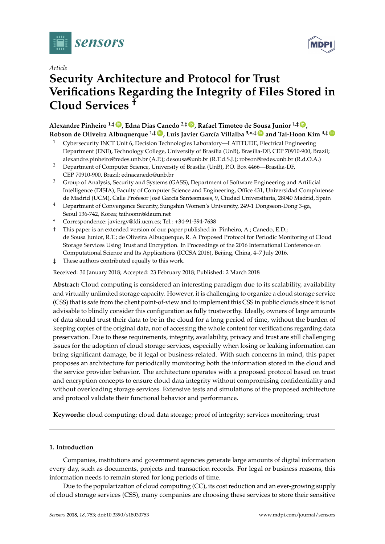

# *Article*

# **Security Architecture and Protocol for Trust Verifications Regarding the Integrity of Files Stored in Cloud Services †**

**Alexandre Pinheiro 1,‡ [ID](https://orcid.org/0000-0001-9919-5001) , Edna Dias Canedo 2,‡ [ID](https://orcid.org/0000-0002-2159-339X) , Rafael Timoteo de Sousa Junior 1,‡ [ID](https://orcid.org/0000-0003-1101-3029) , Robson de Oliveira Albuquerque 1,‡ [ID](https://orcid.org/0000-0002-6717-3374) , Luis Javier García Villalba 3,\* ,‡ [ID](https://orcid.org/0000-0001-7573-6272) and Tai-Hoon Kim 4,‡ [ID](https://orcid.org/0000-0003-0117-8102)**

- <sup>1</sup> Cybersecurity INCT Unit 6, Decision Technologies Laboratory—LATITUDE, Electrical Engineering Department (ENE), Technology College, University of Brasília (UnB), Brasília-DF, CEP 70910-900, Brazil; alexandre.pinheiro@redes.unb.br (A.P.); desousa@unb.br (R.T.d.S.J.); robson@redes.unb.br (R.d.O.A.)
- <sup>2</sup> Department of Computer Science, University of Brasília (UnB), P.O. Box 4466—Brasília-DF, CEP 70910-900, Brazil; ednacanedo@unb.br
- <sup>3</sup> Group of Analysis, Security and Systems (GASS), Department of Software Engineering and Artificial Intelligence (DISIA), Faculty of Computer Science and Engineering, Office 431, Universidad Complutense de Madrid (UCM), Calle Profesor José García Santesmases, 9, Ciudad Universitaria, 28040 Madrid, Spain
- <sup>4</sup> Department of Convergence Security, Sungshin Women's University, 249-1 Dongseon-Dong 3-ga, Seoul 136-742, Korea; taihoonn@daum.net
- **\*** Correspondence: javiergv@fdi.ucm.es; Tel.: +34-91-394-7638
- † This paper is an extended version of our paper published in Pinheiro, A.; Canedo, E.D.; de Sousa Junior, R.T.; de Oliveira Albuquerque, R. A Proposed Protocol for Periodic Monitoring of Cloud Storage Services Using Trust and Encryption. In Proceedings of the 2016 International Conference on Computational Science and Its Applications (ICCSA 2016), Beijing, China, 4–7 July 2016.
- ‡ These authors contributed equally to this work.

Received: 30 January 2018; Accepted: 23 February 2018; Published: 2 March 2018

**Abstract:** Cloud computing is considered an interesting paradigm due to its scalability, availability and virtually unlimited storage capacity. However, it is challenging to organize a cloud storage service (CSS) that is safe from the client point-of-view and to implement this CSS in public clouds since it is not advisable to blindly consider this configuration as fully trustworthy. Ideally, owners of large amounts of data should trust their data to be in the cloud for a long period of time, without the burden of keeping copies of the original data, nor of accessing the whole content for verifications regarding data preservation. Due to these requirements, integrity, availability, privacy and trust are still challenging issues for the adoption of cloud storage services, especially when losing or leaking information can bring significant damage, be it legal or business-related. With such concerns in mind, this paper proposes an architecture for periodically monitoring both the information stored in the cloud and the service provider behavior. The architecture operates with a proposed protocol based on trust and encryption concepts to ensure cloud data integrity without compromising confidentiality and without overloading storage services. Extensive tests and simulations of the proposed architecture and protocol validate their functional behavior and performance.

**Keywords:** cloud computing; cloud data storage; proof of integrity; services monitoring; trust

# **1. Introduction**

Companies, institutions and government agencies generate large amounts of digital information every day, such as documents, projects and transaction records. For legal or business reasons, this information needs to remain stored for long periods of time.

Due to the popularization of cloud computing (CC), its cost reduction and an ever-growing supply of cloud storage services (CSS), many companies are choosing these services to store their sensitive

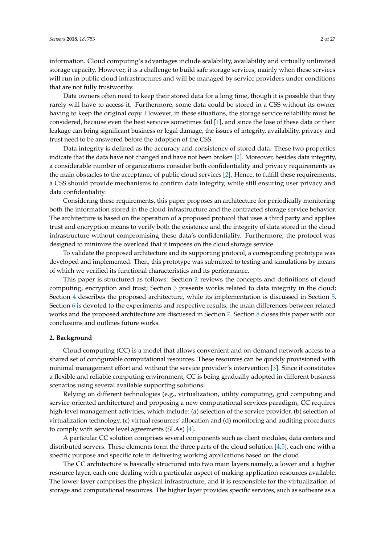information. Cloud computing's advantages include scalability, availability and virtually unlimited storage capacity. However, it is a challenge to build safe storage services, mainly when these services will run in public cloud infrastructures and will be managed by service providers under conditions that are not fully trustworthy.

Data owners often need to keep their stored data for a long time, though it is possible that they rarely will have to access it. Furthermore, some data could be stored in a CSS without its owner having to keep the original copy. However, in these situations, the storage service reliability must be considered, because even the best services sometimes fail [\[1\]](#page-24-0), and since the lose of these data or their leakage can bring significant business or legal damage, the issues of integrity, availability, privacy and trust need to be answered before the adoption of the CSS.

Data integrity is defined as the accuracy and consistency of stored data. These two properties indicate that the data have not changed and have not been broken [\[2\]](#page-24-1). Moreover, besides data integrity, a considerable number of organizations consider both confidentiality and privacy requirements as the main obstacles to the acceptance of public cloud services [\[2\]](#page-24-1). Hence, to fulfill these requirements, a CSS should provide mechanisms to confirm data integrity, while still ensuring user privacy and data confidentiality.

Considering these requirements, this paper proposes an architecture for periodically monitoring both the information stored in the cloud infrastructure and the contracted storage service behavior. The architecture is based on the operation of a proposed protocol that uses a third party and applies trust and encryption means to verify both the existence and the integrity of data stored in the cloud infrastructure without compromising these data's confidentiality. Furthermore, the protocol was designed to minimize the overload that it imposes on the cloud storage service.

To validate the proposed architecture and its supporting protocol, a corresponding prototype was developed and implemented. Then, this prototype was submitted to testing and simulations by means of which we verified its functional characteristics and its performance.

This paper is structured as follows: Section [2](#page-1-0) reviews the concepts and definitions of cloud computing, encryption and trust; Section [3](#page-4-0) presents works related to data integrity in the cloud; Section [4](#page-6-0) describes the proposed architecture, while its implementation is discussed in Section [5.](#page-13-0) Section [6](#page-17-0) is devoted to the experiments and respective results; the main differences between related works and the proposed architecture are discussed in Section [7.](#page-22-0) Section [8](#page-22-1) closes this paper with our conclusions and outlines future works.

# <span id="page-1-0"></span>**2. Background**

Cloud computing (CC) is a model that allows convenient and on-demand network access to a shared set of configurable computational resources. These resources can be quickly provisioned with minimal management effort and without the service provider's intervention [\[3\]](#page-24-2). Since it constitutes a flexible and reliable computing environment, CC is being gradually adopted in different business scenarios using several available supporting solutions.

Relying on different technologies (e.g., virtualization, utility computing, grid computing and service-oriented architecture) and proposing a new computational services paradigm, CC requires high-level management activities, which include: (a) selection of the service provider, (b) selection of virtualization technology, (c) virtual resources' allocation and (d) monitoring and auditing procedures to comply with service level agreements (SLAs) [\[4\]](#page-24-3).

A particular CC solution comprises several components such as client modules, data centers and distributed servers. These elements form the three parts of the cloud solution [\[4](#page-24-3)[,5\]](#page-24-4), each one with a specific purpose and specific role in delivering working applications based on the cloud.

The CC architecture is basically structured into two main layers namely, a lower and a higher resource layer, each one dealing with a particular aspect of making application resources available. The lower layer comprises the physical infrastructure, and it is responsible for the virtualization of storage and computational resources. The higher layer provides specific services, such as software as a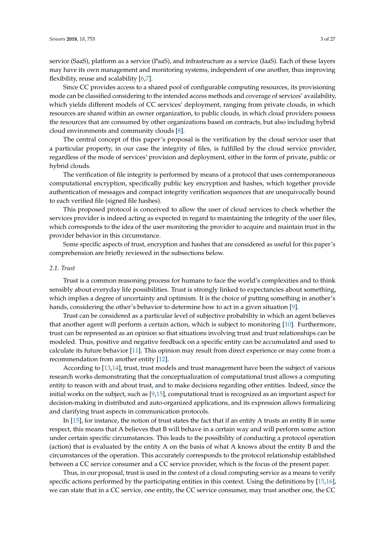service (SaaS), platform as a service (PaaS), and infrastructure as a service (IaaS). Each of these layers may have its own management and monitoring systems, independent of one another, thus improving flexibility, reuse and scalability [\[6](#page-24-5)[,7\]](#page-24-6).

Since CC provides access to a shared pool of configurable computing resources, its provisioning mode can be classified considering to the intended access methods and coverage of services' availability, which yields different models of CC services' deployment, ranging from private clouds, in which resources are shared within an owner organization, to public clouds, in which cloud providers possess the resources that are consumed by other organizations based on contracts, but also including hybrid cloud environments and community clouds [\[8\]](#page-24-7).

The central concept of this paper's proposal is the verification by the cloud service user that a particular property, in our case the integrity of files, is fulfilled by the cloud service provider, regardless of the mode of services' provision and deployment, either in the form of private, public or hybrid clouds.

The verification of file integrity is performed by means of a protocol that uses contemporaneous computational encryption, specifically public key encryption and hashes, which together provide authentication of messages and compact integrity verification sequences that are unequivocally bound to each verified file (signed file hashes).

This proposed protocol is conceived to allow the user of cloud services to check whether the services provider is indeed acting as expected in regard to maintaining the integrity of the user files, which corresponds to the idea of the user monitoring the provider to acquire and maintain trust in the provider behavior in this circumstance.

Some specific aspects of trust, encryption and hashes that are considered as useful for this paper's comprehension are briefly reviewed in the subsections below.

## *2.1. Trust*

Trust is a common reasoning process for humans to face the world's complexities and to think sensibly about everyday life possibilities. Trust is strongly linked to expectancies about something, which implies a degree of uncertainty and optimism. It is the choice of putting something in another's hands, considering the other's behavior to determine how to act in a given situation [\[9\]](#page-24-8).

Trust can be considered as a particular level of subjective probability in which an agent believes that another agent will perform a certain action, which is subject to monitoring [\[10\]](#page-24-9). Furthermore, trust can be represented as an opinion so that situations involving trust and trust relationships can be modeled. Thus, positive and negative feedback on a specific entity can be accumulated and used to calculate its future behavior [\[11\]](#page-24-10). This opinion may result from direct experience or may come from a recommendation from another entity [\[12\]](#page-24-11).

According to [\[13](#page-24-12)[,14\]](#page-24-13), trust, trust models and trust management have been the subject of various research works demonstrating that the conceptualization of computational trust allows a computing entity to reason with and about trust, and to make decisions regarding other entities. Indeed, since the initial works on the subject, such as [\[9](#page-24-8)[,15\]](#page-24-14), computational trust is recognized as an important aspect for decision-making in distributed and auto-organized applications, and its expression allows formalizing and clarifying trust aspects in communication protocols.

In [\[15\]](#page-24-14), for instance, the notion of trust states the fact that if an entity A trusts an entity B in some respect, this means that A believes that B will behave in a certain way and will perform some action under certain specific circumstances. This leads to the possibility of conducting a protocol operation (action) that is evaluated by the entity A on the basis of what A knows about the entity B and the circumstances of the operation. This accurately corresponds to the protocol relationship established between a CC service consumer and a CC service provider, which is the focus of the present paper.

Thus, in our proposal, trust is used in the context of a cloud computing service as a means to verify specific actions performed by the participating entities in this context. Using the definitions by [\[15](#page-24-14)[,16\]](#page-24-15), we can state that in a CC service, one entity, the CC service consumer, may trust another one, the CC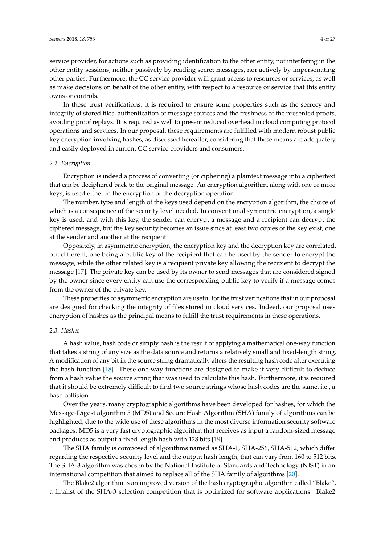service provider, for actions such as providing identification to the other entity, not interfering in the other entity sessions, neither passively by reading secret messages, nor actively by impersonating other parties. Furthermore, the CC service provider will grant access to resources or services, as well as make decisions on behalf of the other entity, with respect to a resource or service that this entity owns or controls.

In these trust verifications, it is required to ensure some properties such as the secrecy and integrity of stored files, authentication of message sources and the freshness of the presented proofs, avoiding proof replays. It is required as well to present reduced overhead in cloud computing protocol operations and services. In our proposal, these requirements are fulfilled with modern robust public key encryption involving hashes, as discussed hereafter, considering that these means are adequately and easily deployed in current CC service providers and consumers.

## *2.2. Encryption*

Encryption is indeed a process of converting (or ciphering) a plaintext message into a ciphertext that can be deciphered back to the original message. An encryption algorithm, along with one or more keys, is used either in the encryption or the decryption operation.

The number, type and length of the keys used depend on the encryption algorithm, the choice of which is a consequence of the security level needed. In conventional symmetric encryption, a single key is used, and with this key, the sender can encrypt a message and a recipient can decrypt the ciphered message, but the key security becomes an issue since at least two copies of the key exist, one at the sender and another at the recipient.

Oppositely, in asymmetric encryption, the encryption key and the decryption key are correlated, but different, one being a public key of the recipient that can be used by the sender to encrypt the message, while the other related key is a recipient private key allowing the recipient to decrypt the message [\[17\]](#page-24-16). The private key can be used by its owner to send messages that are considered signed by the owner since every entity can use the corresponding public key to verify if a message comes from the owner of the private key.

These properties of asymmetric encryption are useful for the trust verifications that in our proposal are designed for checking the integrity of files stored in cloud services. Indeed, our proposal uses encryption of hashes as the principal means to fulfill the trust requirements in these operations.

# *2.3. Hashes*

A hash value, hash code or simply hash is the result of applying a mathematical one-way function that takes a string of any size as the data source and returns a relatively small and fixed-length string. A modification of any bit in the source string dramatically alters the resulting hash code after executing the hash function [\[18\]](#page-24-17). These one-way functions are designed to make it very difficult to deduce from a hash value the source string that was used to calculate this hash. Furthermore, it is required that it should be extremely difficult to find two source strings whose hash codes are the same, i.e., a hash collision.

Over the years, many cryptographic algorithms have been developed for hashes, for which the Message-Digest algorithm 5 (MD5) and Secure Hash Algorithm (SHA) family of algorithms can be highlighted, due to the wide use of these algorithms in the most diverse information security software packages. MD5 is a very fast cryptographic algorithm that receives as input a random-sized message and produces as output a fixed length hash with 128 bits [\[19\]](#page-24-18).

The SHA family is composed of algorithms named as SHA-1, SHA-256, SHA-512, which differ regarding the respective security level and the output hash length, that can vary from 160 to 512 bits. The SHA-3 algorithm was chosen by the National Institute of Standards and Technology (NIST) in an international competition that aimed to replace all of the SHA family of algorithms [\[20\]](#page-24-19).

The Blake2 algorithm is an improved version of the hash cryptographic algorithm called "Blake", a finalist of the SHA-3 selection competition that is optimized for software applications. Blake2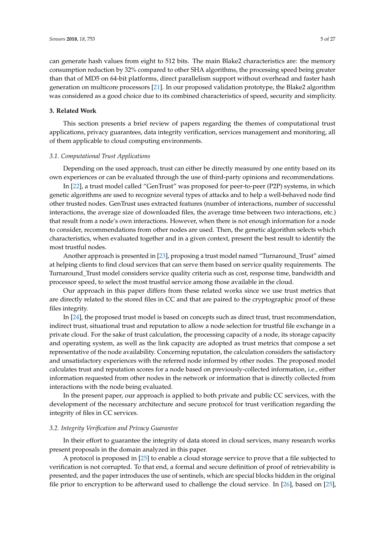can generate hash values from eight to 512 bits. The main Blake2 characteristics are: the memory consumption reduction by 32% compared to other SHA algorithms, the processing speed being greater than that of MD5 on 64-bit platforms, direct parallelism support without overhead and faster hash generation on multicore processors [\[21\]](#page-25-0). In our proposed validation prototype, the Blake2 algorithm was considered as a good choice due to its combined characteristics of speed, security and simplicity.

# <span id="page-4-0"></span>**3. Related Work**

This section presents a brief review of papers regarding the themes of computational trust applications, privacy guarantees, data integrity verification, services management and monitoring, all of them applicable to cloud computing environments.

# *3.1. Computational Trust Applications*

Depending on the used approach, trust can either be directly measured by one entity based on its own experiences or can be evaluated through the use of third-party opinions and recommendations.

In [\[22\]](#page-25-1), a trust model called "GenTrust" was proposed for peer-to-peer (P2P) systems, in which genetic algorithms are used to recognize several types of attacks and to help a well-behaved node find other trusted nodes. GenTrust uses extracted features (number of interactions, number of successful interactions, the average size of downloaded files, the average time between two interactions, etc.) that result from a node's own interactions. However, when there is not enough information for a node to consider, recommendations from other nodes are used. Then, the genetic algorithm selects which characteristics, when evaluated together and in a given context, present the best result to identify the most trustful nodes.

Another approach is presented in [\[23\]](#page-25-2), proposing a trust model named "Turnaround\_Trust" aimed at helping clients to find cloud services that can serve them based on service quality requirements. The Turnaround\_Trust model considers service quality criteria such as cost, response time, bandwidth and processor speed, to select the most trustful service among those available in the cloud.

Our approach in this paper differs from these related works since we use trust metrics that are directly related to the stored files in CC and that are paired to the cryptographic proof of these files integrity.

In [\[24\]](#page-25-3), the proposed trust model is based on concepts such as direct trust, trust recommendation, indirect trust, situational trust and reputation to allow a node selection for trustful file exchange in a private cloud. For the sake of trust calculation, the processing capacity of a node, its storage capacity and operating system, as well as the link capacity are adopted as trust metrics that compose a set representative of the node availability. Concerning reputation, the calculation considers the satisfactory and unsatisfactory experiences with the referred node informed by other nodes. The proposed model calculates trust and reputation scores for a node based on previously-collected information, i.e., either information requested from other nodes in the network or information that is directly collected from interactions with the node being evaluated.

In the present paper, our approach is applied to both private and public CC services, with the development of the necessary architecture and secure protocol for trust verification regarding the integrity of files in CC services.

# *3.2. Integrity Verification and Privacy Guarantee*

In their effort to guarantee the integrity of data stored in cloud services, many research works present proposals in the domain analyzed in this paper.

A protocol is proposed in [\[25\]](#page-25-4) to enable a cloud storage service to prove that a file subjected to verification is not corrupted. To that end, a formal and secure definition of proof of retrievability is presented, and the paper introduces the use of sentinels, which are special blocks hidden in the original file prior to encryption to be afterward used to challenge the cloud service. In [\[26\]](#page-25-5), based on [\[25\]](#page-25-4),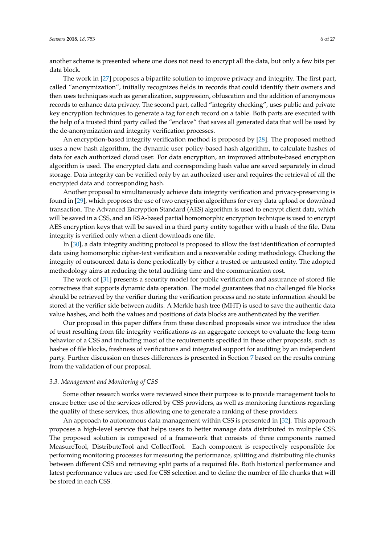another scheme is presented where one does not need to encrypt all the data, but only a few bits per data block.

The work in [\[27\]](#page-25-6) proposes a bipartite solution to improve privacy and integrity. The first part, called "anonymization", initially recognizes fields in records that could identify their owners and then uses techniques such as generalization, suppression, obfuscation and the addition of anonymous records to enhance data privacy. The second part, called "integrity checking", uses public and private key encryption techniques to generate a tag for each record on a table. Both parts are executed with the help of a trusted third party called the "enclave" that saves all generated data that will be used by the de-anonymization and integrity verification processes.

An encryption-based integrity verification method is proposed by [\[28\]](#page-25-7). The proposed method uses a new hash algorithm, the dynamic user policy-based hash algorithm, to calculate hashes of data for each authorized cloud user. For data encryption, an improved attribute-based encryption algorithm is used. The encrypted data and corresponding hash value are saved separately in cloud storage. Data integrity can be verified only by an authorized user and requires the retrieval of all the encrypted data and corresponding hash.

Another proposal to simultaneously achieve data integrity verification and privacy-preserving is found in [\[29\]](#page-25-8), which proposes the use of two encryption algorithms for every data upload or download transaction. The Advanced Encryption Standard (AES) algorithm is used to encrypt client data, which will be saved in a CSS, and an RSA-based partial homomorphic encryption technique is used to encrypt AES encryption keys that will be saved in a third party entity together with a hash of the file. Data integrity is verified only when a client downloads one file.

In [\[30\]](#page-25-9), a data integrity auditing protocol is proposed to allow the fast identification of corrupted data using homomorphic cipher-text verification and a recoverable coding methodology. Checking the integrity of outsourced data is done periodically by either a trusted or untrusted entity. The adopted methodology aims at reducing the total auditing time and the communication cost.

The work of [\[31\]](#page-25-10) presents a security model for public verification and assurance of stored file correctness that supports dynamic data operation. The model guarantees that no challenged file blocks should be retrieved by the verifier during the verification process and no state information should be stored at the verifier side between audits. A Merkle hash tree (MHT) is used to save the authentic data value hashes, and both the values and positions of data blocks are authenticated by the verifier.

Our proposal in this paper differs from these described proposals since we introduce the idea of trust resulting from file integrity verifications as an aggregate concept to evaluate the long-term behavior of a CSS and including most of the requirements specified in these other proposals, such as hashes of file blocks, freshness of verifications and integrated support for auditing by an independent party. Further discussion on theses differences is presented in Section [7](#page-22-0) based on the results coming from the validation of our proposal.

### *3.3. Management and Monitoring of CSS*

Some other research works were reviewed since their purpose is to provide management tools to ensure better use of the services offered by CSS providers, as well as monitoring functions regarding the quality of these services, thus allowing one to generate a ranking of these providers.

An approach to autonomous data management within CSS is presented in [\[32\]](#page-25-11). This approach proposes a high-level service that helps users to better manage data distributed in multiple CSS. The proposed solution is composed of a framework that consists of three components named MeasureTool, DistributeTool and CollectTool. Each component is respectively responsible for performing monitoring processes for measuring the performance, splitting and distributing file chunks between different CSS and retrieving split parts of a required file. Both historical performance and latest performance values are used for CSS selection and to define the number of file chunks that will be stored in each CSS.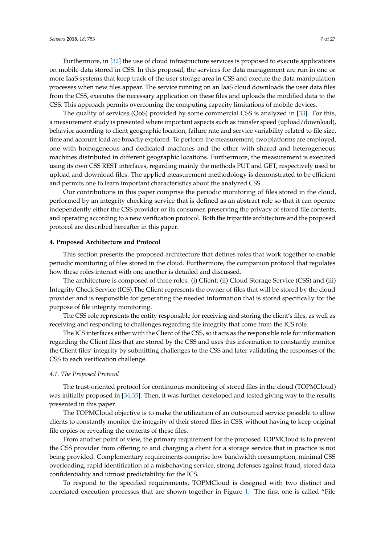Furthermore, in [\[32\]](#page-25-11) the use of cloud infrastructure services is proposed to execute applications on mobile data stored in CSS. In this proposal, the services for data management are run in one or more IaaS systems that keep track of the user storage area in CSS and execute the data manipulation processes when new files appear. The service running on an IaaS cloud downloads the user data files from the CSS, executes the necessary application on these files and uploads the modified data to the CSS. This approach permits overcoming the computing capacity limitations of mobile devices.

The quality of services (QoS) provided by some commercial CSS is analyzed in [\[33\]](#page-25-12). For this, a measurement study is presented where important aspects such as transfer speed (upload/download), behavior according to client geographic location, failure rate and service variability related to file size, time and account load are broadly explored. To perform the measurement, two platforms are employed, one with homogeneous and dedicated machines and the other with shared and heterogeneous machines distributed in different geographic locations. Furthermore, the measurement is executed using its own CSS REST interfaces, regarding mainly the methods PUT and GET, respectively used to upload and download files. The applied measurement methodology is demonstrated to be efficient and permits one to learn important characteristics about the analyzed CSS.

Our contributions in this paper comprise the periodic monitoring of files stored in the cloud, performed by an integrity checking service that is defined as an abstract role so that it can operate independently either the CSS provider or its consumer, preserving the privacy of stored file contents, and operating according to a new verification protocol. Both the tripartite architecture and the proposed protocol are described hereafter in this paper.

### <span id="page-6-0"></span>**4. Proposed Architecture and Protocol**

This section presents the proposed architecture that defines roles that work together to enable periodic monitoring of files stored in the cloud. Furthermore, the companion protocol that regulates how these roles interact with one another is detailed and discussed.

The architecture is composed of three roles: (i) Client; (ii) Cloud Storage Service (CSS) and (iii) Integrity Check Service (ICS).The Client represents the owner of files that will be stored by the cloud provider and is responsible for generating the needed information that is stored specifically for the purpose of file integrity monitoring.

The CSS role represents the entity responsible for receiving and storing the client's files, as well as receiving and responding to challenges regarding file integrity that come from the ICS role.

The ICS interfaces either with the Client of the CSS, so it acts as the responsible role for information regarding the Client files that are stored by the CSS and uses this information to constantly monitor the Client files' integrity by submitting challenges to the CSS and later validating the responses of the CSS to each verification challenge.

### *4.1. The Proposed Protocol*

The trust-oriented protocol for continuous monitoring of stored files in the cloud (TOPMCloud) was initially proposed in [\[34](#page-25-13)[,35\]](#page-25-14). Then, it was further developed and tested giving way to the results presented in this paper.

The TOPMCloud objective is to make the utilization of an outsourced service possible to allow clients to constantly monitor the integrity of their stored files in CSS, without having to keep original file copies or revealing the contents of these files.

From another point of view, the primary requirement for the proposed TOPMCloud is to prevent the CSS provider from offering to and charging a client for a storage service that in practice is not being provided. Complementary requirements comprise low bandwidth consumption, minimal CSS overloading, rapid identification of a misbehaving service, strong defenses against fraud, stored data confidentiality and utmost predictability for the ICS.

To respond to the specified requirements, TOPMCloud is designed with two distinct and correlated execution processes that are shown together in Figure [1.](#page-8-0) The first one is called "File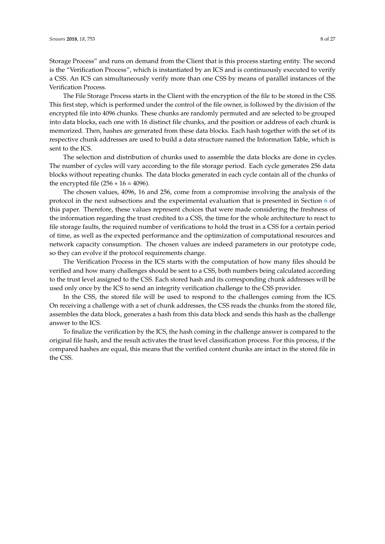Storage Process" and runs on demand from the Client that is this process starting entity. The second is the "Verification Process", which is instantiated by an ICS and is continuously executed to verify a CSS. An ICS can simultaneously verify more than one CSS by means of parallel instances of the Verification Process.

The File Storage Process starts in the Client with the encryption of the file to be stored in the CSS. This first step, which is performed under the control of the file owner, is followed by the division of the encrypted file into 4096 chunks. These chunks are randomly permuted and are selected to be grouped into data blocks, each one with 16 distinct file chunks, and the position or address of each chunk is memorized. Then, hashes are generated from these data blocks. Each hash together with the set of its respective chunk addresses are used to build a data structure named the Information Table, which is sent to the ICS.

The selection and distribution of chunks used to assemble the data blocks are done in cycles. The number of cycles will vary according to the file storage period. Each cycle generates 256 data blocks without repeating chunks. The data blocks generated in each cycle contain all of the chunks of the encrypted file  $(256 * 16 = 4096)$ .

The chosen values, 4096, 16 and 256, come from a compromise involving the analysis of the protocol in the next subsections and the experimental evaluation that is presented in Section [6](#page-17-0) of this paper. Therefore, these values represent choices that were made considering the freshness of the information regarding the trust credited to a CSS, the time for the whole architecture to react to file storage faults, the required number of verifications to hold the trust in a CSS for a certain period of time, as well as the expected performance and the optimization of computational resources and network capacity consumption. The chosen values are indeed parameters in our prototype code, so they can evolve if the protocol requirements change.

The Verification Process in the ICS starts with the computation of how many files should be verified and how many challenges should be sent to a CSS, both numbers being calculated according to the trust level assigned to the CSS. Each stored hash and its corresponding chunk addresses will be used only once by the ICS to send an integrity verification challenge to the CSS provider.

In the CSS, the stored file will be used to respond to the challenges coming from the ICS. On receiving a challenge with a set of chunk addresses, the CSS reads the chunks from the stored file, assembles the data block, generates a hash from this data block and sends this hash as the challenge answer to the ICS.

To finalize the verification by the ICS, the hash coming in the challenge answer is compared to the original file hash, and the result activates the trust level classification process. For this process, if the compared hashes are equal, this means that the verified content chunks are intact in the stored file in the CSS.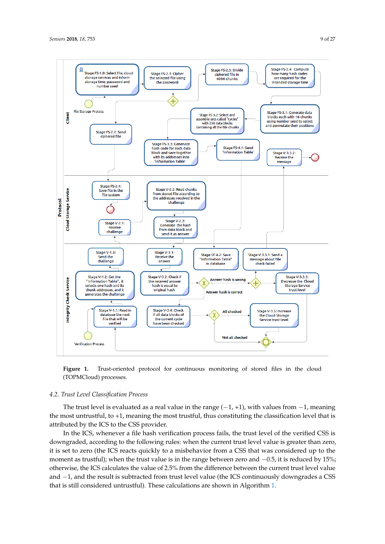<span id="page-8-0"></span>

**Figure 1.** Trust-oriented protocol for continuous monitoring of stored files in the cloud (TOPMCloud) processes.

# *4.2. Trust Level Classification Process*

The trust level is evaluated as a real value in the range  $(-1, +1)$ , with values from  $-1$ , meaning the most untrustful, to +1, meaning the most trustful, thus constituting the classification level that is attributed by the ICS to the CSS provider.

In the ICS, whenever a file hash verification process fails, the trust level of the verified CSS is downgraded, according to the following rules: when the current trust level value is greater than zero, it is set to zero (the ICS reacts quickly to a misbehavior from a CSS that was considered up to the moment as trustful); when the trust value is in the range between zero and  $-0.5$ , it is reduced by 15%; otherwise, the ICS calculates the value of 2.5% from the difference between the current trust level value and −1, and the result is subtracted from trust level value (the ICS continuously downgrades a CSS that is still considered untrustful). These calculations are shown in Algorithm [1.](#page-9-0)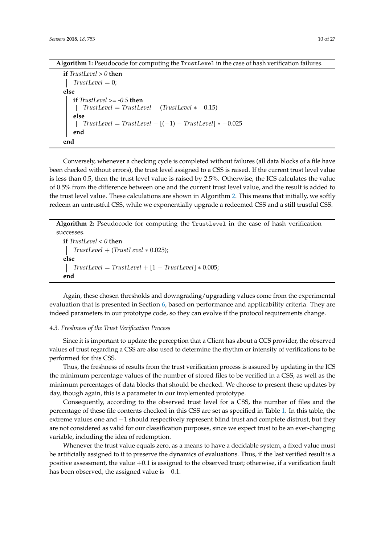| Algorithm 1: Pseudocode for computing the TrustLevel in the case of hash verification failures. |  |  |  |  |  |  |  |
|-------------------------------------------------------------------------------------------------|--|--|--|--|--|--|--|
|                                                                                                 |  |  |  |  |  |  |  |

<span id="page-9-0"></span>**if** *TrustLevel > 0* **then** *TrustLevel* = 0; **else if** *TrustLevel >= -0.5* **then** *TrustLevel* = *TrustLevel* − (*TrustLevel* ∗ −0.15) **else** *TrustLevel* = *TrustLevel* − [(−1) − *TrustLevel*] ∗ −0.025 **end end**

Conversely, whenever a checking cycle is completed without failures (all data blocks of a file have been checked without errors), the trust level assigned to a CSS is raised. If the current trust level value is less than 0.5, then the trust level value is raised by 2.5%. Otherwise, the ICS calculates the value of 0.5% from the difference between one and the current trust level value, and the result is added to the trust level value. These calculations are shown in Algorithm [2.](#page-9-1) This means that initially, we softly redeem an untrustful CSS, while we exponentially upgrade a redeemed CSS and a still trustful CSS.

**Algorithm 2:** Pseudocode for computing the TrustLevel in the case of hash verification successes.

<span id="page-9-1"></span>**if** *TrustLevel < 0* **then** *TrustLevel* + (*TrustLevel* ∗ 0.025); **else**  $TrustLevel = TrustLevel + [1 - TrustLevel] * 0.005;$ **end**

Again, these chosen thresholds and downgrading/upgrading values come from the experimental evaluation that is presented in Section [6,](#page-17-0) based on performance and applicability criteria. They are indeed parameters in our prototype code, so they can evolve if the protocol requirements change.

## *4.3. Freshness of the Trust Verification Process*

Since it is important to update the perception that a Client has about a CCS provider, the observed values of trust regarding a CSS are also used to determine the rhythm or intensity of verifications to be performed for this CSS.

Thus, the freshness of results from the trust verification process is assured by updating in the ICS the minimum percentage values of the number of stored files to be verified in a CSS, as well as the minimum percentages of data blocks that should be checked. We choose to present these updates by day, though again, this is a parameter in our implemented prototype.

Consequently, according to the observed trust level for a CSS, the number of files and the percentage of these file contents checked in this CSS are set as specified in Table [1.](#page-10-0) In this table, the extreme values one and −1 should respectively represent blind trust and complete distrust, but they are not considered as valid for our classification purposes, since we expect trust to be an ever-changing variable, including the idea of redemption.

Whenever the trust value equals zero, as a means to have a decidable system, a fixed value must be artificially assigned to it to preserve the dynamics of evaluations. Thus, if the last verified result is a positive assessment, the value  $+0.1$  is assigned to the observed trust; otherwise, if a verification fault has been observed, the assigned value is −0.1.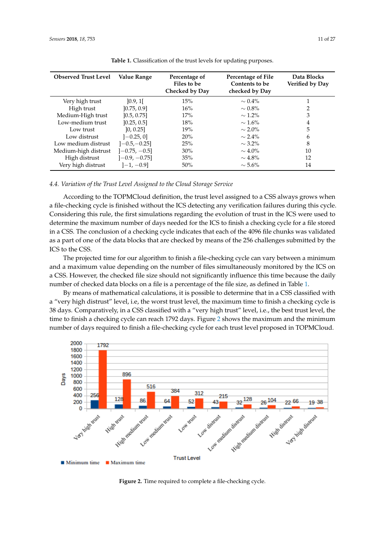<span id="page-10-0"></span>

| <b>Observed Trust Level</b> | Value Range     | Percentage of<br>Files to be<br>Checked by Day | Percentage of File<br>Contents to be<br>checked by Day | Data Blocks<br>Verified by Day |
|-----------------------------|-----------------|------------------------------------------------|--------------------------------------------------------|--------------------------------|
| Very high trust             | [0.9, 1]        | 15%                                            | $\sim 0.4\%$                                           |                                |
| High trust                  | [0.75, 0.9]     | 16%                                            | $\sim 0.8\%$                                           | $\mathcal{L}$                  |
| Medium-High trust           | [0.5, 0.75]     | 17%                                            | $\sim$ 1.2%                                            | 3                              |
| Low-medium trust            | [0.25, 0.5]     | $18\%$                                         | $\sim 1.6\%$                                           | 4                              |
| Low trust                   | [0, 0.25]       | 19%                                            | $\sim$ 2.0%                                            | 5                              |
| Low distrust                | $[-0.25, 0]$    | 20%                                            | $\sim$ 2.4%                                            | 6                              |
| Low medium distrust         | $[-0.5,-0.25]$  | 25%                                            | $\sim$ 3.2%                                            | 8                              |
| Medium-high distrust        | $[-0.75, -0.5]$ | 30%                                            | $\sim 4.0\%$                                           | 10                             |
| High distrust               | $[-0.9, -0.75]$ | 35%                                            | $\sim$ 4.8%                                            | 12                             |
| Very high distrust          | $[-1, -0.9]$    | 50%                                            | $\sim$ 5.6%                                            | 14                             |

**Table 1.** Classification of the trust levels for updating purposes.

# *4.4. Variation of the Trust Level Assigned to the Cloud Storage Service*

According to the TOPMCloud definition, the trust level assigned to a CSS always grows when a file-checking cycle is finished without the ICS detecting any verification failures during this cycle. Considering this rule, the first simulations regarding the evolution of trust in the ICS were used to determine the maximum number of days needed for the ICS to finish a checking cycle for a file stored in a CSS. The conclusion of a checking cycle indicates that each of the 4096 file chunks was validated as a part of one of the data blocks that are checked by means of the 256 challenges submitted by the ICS to the CSS.

The projected time for our algorithm to finish a file-checking cycle can vary between a minimum and a maximum value depending on the number of files simultaneously monitored by the ICS on a CSS. However, the checked file size should not significantly influence this time because the daily number of checked data blocks on a file is a percentage of the file size, as defined in Table [1.](#page-10-0)

By means of mathematical calculations, it is possible to determine that in a CSS classified with a "very high distrust" level, i.e, the worst trust level, the maximum time to finish a checking cycle is 38 days. Comparatively, in a CSS classified with a "very high trust" level, i.e., the best trust level, the time to finish a checking cycle can reach 1792 days. Figure [2](#page-10-1) shows the maximum and the minimum number of days required to finish a file-checking cycle for each trust level proposed in TOPMCloud.

<span id="page-10-1"></span>

**Figure 2.** Time required to complete a file-checking cycle.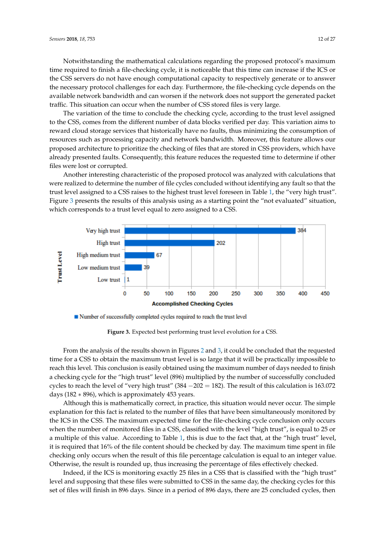Notwithstanding the mathematical calculations regarding the proposed protocol's maximum time required to finish a file-checking cycle, it is noticeable that this time can increase if the ICS or the CSS servers do not have enough computational capacity to respectively generate or to answer the necessary protocol challenges for each day. Furthermore, the file-checking cycle depends on the available network bandwidth and can worsen if the network does not support the generated packet traffic. This situation can occur when the number of CSS stored files is very large.

The variation of the time to conclude the checking cycle, according to the trust level assigned to the CSS, comes from the different number of data blocks verified per day. This variation aims to reward cloud storage services that historically have no faults, thus minimizing the consumption of resources such as processing capacity and network bandwidth. Moreover, this feature allows our proposed architecture to prioritize the checking of files that are stored in CSS providers, which have already presented faults. Consequently, this feature reduces the requested time to determine if other files were lost or corrupted.

Another interesting characteristic of the proposed protocol was analyzed with calculations that were realized to determine the number of file cycles concluded without identifying any fault so that the trust level assigned to a CSS raises to the highest trust level foreseen in Table [1,](#page-10-0) the "very high trust". Figure [3](#page-11-0) presents the results of this analysis using as a starting point the "not evaluated" situation, which corresponds to a trust level equal to zero assigned to a CSS.

<span id="page-11-0"></span>

Number of successfully completed cycles required to reach the trust level

**Figure 3.** Expected best performing trust level evolution for a CSS.

From the analysis of the results shown in Figures [2](#page-10-1) and [3,](#page-11-0) it could be concluded that the requested time for a CSS to obtain the maximum trust level is so large that it will be practically impossible to reach this level. This conclusion is easily obtained using the maximum number of days needed to finish a checking cycle for the "high trust" level (896) multiplied by the number of successfully concluded cycles to reach the level of "very high trust" (384  $-202 = 182$ ). The result of this calculation is 163.072 days (182 ∗ 896), which is approximately 453 years.

Although this is mathematically correct, in practice, this situation would never occur. The simple explanation for this fact is related to the number of files that have been simultaneously monitored by the ICS in the CSS. The maximum expected time for the file-checking cycle conclusion only occurs when the number of monitored files in a CSS, classified with the level "high trust", is equal to 25 or a multiple of this value. According to Table [1,](#page-10-0) this is due to the fact that, at the "high trust" level, it is required that 16% of the file content should be checked by day. The maximum time spent in file checking only occurs when the result of this file percentage calculation is equal to an integer value. Otherwise, the result is rounded up, thus increasing the percentage of files effectively checked.

Indeed, if the ICS is monitoring exactly 25 files in a CSS that is classified with the "high trust" level and supposing that these files were submitted to CSS in the same day, the checking cycles for this set of files will finish in 896 days. Since in a period of 896 days, there are 25 concluded cycles, then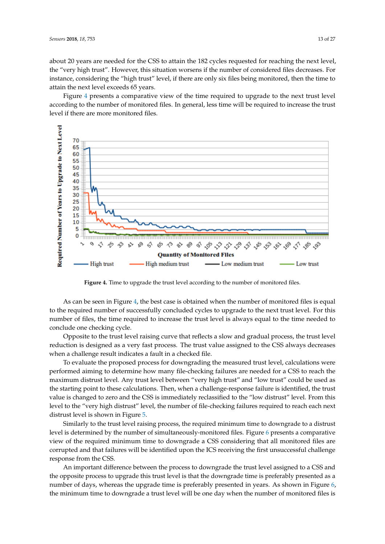about 20 years are needed for the CSS to attain the 182 cycles requested for reaching the next level, the "very high trust". However, this situation worsens if the number of considered files decreases. For instance, considering the "high trust" level, if there are only six files being monitored, then the time to attain the next level exceeds 65 years.

Figure [4](#page-12-0) presents a comparative view of the time required to upgrade to the next trust level according to the number of monitored files. In general, less time will be required to increase the trust level if there are more monitored files.

<span id="page-12-0"></span>

**Figure 4.** Time to upgrade the trust level according to the number of monitored files.

As can be seen in Figure [4,](#page-12-0) the best case is obtained when the number of monitored files is equal to the required number of successfully concluded cycles to upgrade to the next trust level. For this number of files, the time required to increase the trust level is always equal to the time needed to conclude one checking cycle.

Opposite to the trust level raising curve that reflects a slow and gradual process, the trust level reduction is designed as a very fast process. The trust value assigned to the CSS always decreases when a challenge result indicates a fault in a checked file.

To evaluate the proposed process for downgrading the measured trust level, calculations were performed aiming to determine how many file-checking failures are needed for a CSS to reach the maximum distrust level. Any trust level between "very high trust" and "low trust" could be used as the starting point to these calculations. Then, when a challenge-response failure is identified, the trust value is changed to zero and the CSS is immediately reclassified to the "low distrust" level. From this level to the "very high distrust" level, the number of file-checking failures required to reach each next distrust level is shown in Figure [5.](#page-13-1)

Similarly to the trust level raising process, the required minimum time to downgrade to a distrust level is determined by the number of simultaneously-monitored files. Figure [6](#page-13-2) presents a comparative view of the required minimum time to downgrade a CSS considering that all monitored files are corrupted and that failures will be identified upon the ICS receiving the first unsuccessful challenge response from the CSS.

An important difference between the process to downgrade the trust level assigned to a CSS and the opposite process to upgrade this trust level is that the downgrade time is preferably presented as a number of days, whereas the upgrade time is preferably presented in years. As shown in Figure [6,](#page-13-2) the minimum time to downgrade a trust level will be one day when the number of monitored files is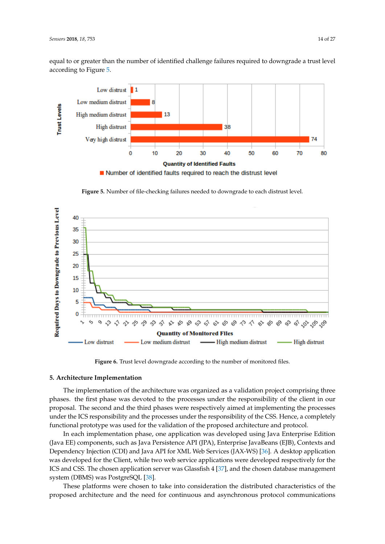equal to or greater than the number of identified challenge failures required to downgrade a trust level according to Figure [5.](#page-13-1)

<span id="page-13-1"></span>

**Figure 5.** Number of file-checking failures needed to downgrade to each distrust level.

<span id="page-13-2"></span>

**Figure 6.** Trust level downgrade according to the number of monitored files.

# <span id="page-13-0"></span>**5. Architecture Implementation**

The implementation of the architecture was organized as a validation project comprising three phases. the first phase was devoted to the processes under the responsibility of the client in our proposal. The second and the third phases were respectively aimed at implementing the processes under the ICS responsibility and the processes under the responsibility of the CSS. Hence, a completely functional prototype was used for the validation of the proposed architecture and protocol.

In each implementation phase, one application was developed using Java Enterprise Edition (Java EE) components, such as Java Persistence API (JPA), Enterprise JavaBeans (EJB), Contexts and Dependency Injection (CDI) and Java API for XML Web Services (JAX-WS) [\[36\]](#page-25-15). A desktop application was developed for the Client, while two web service applications were developed respectively for the ICS and CSS. The chosen application server was Glassfish 4 [\[37\]](#page-25-16), and the chosen database management system (DBMS) was PostgreSQL [\[38\]](#page-25-17).

These platforms were chosen to take into consideration the distributed characteristics of the proposed architecture and the need for continuous and asynchronous protocol communications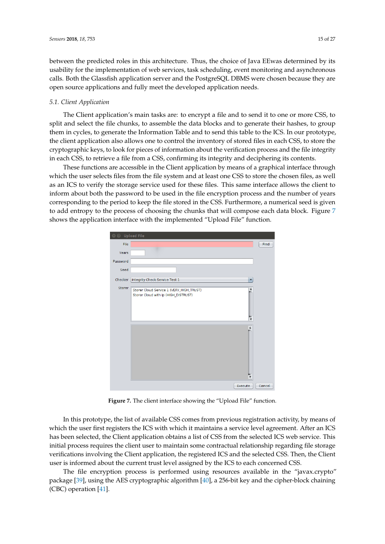between the predicted roles in this architecture. Thus, the choice of Java EEwas determined by its usability for the implementation of web services, task scheduling, event monitoring and asynchronous calls. Both the Glassfish application server and the PostgreSQL DBMS were chosen because they are open source applications and fully meet the developed application needs.

## *5.1. Client Application*

The Client application's main tasks are: to encrypt a file and to send it to one or more CSS, to split and select the file chunks, to assemble the data blocks and to generate their hashes, to group them in cycles, to generate the Information Table and to send this table to the ICS. In our prototype, the client application also allows one to control the inventory of stored files in each CSS, to store the cryptographic keys, to look for pieces of information about the verification process and the file integrity in each CSS, to retrieve a file from a CSS, confirming its integrity and deciphering its contents.

These functions are accessible in the Client application by means of a graphical interface through which the user selects files from the file system and at least one CSS to store the chosen files, as well as an ICS to verify the storage service used for these files. This same interface allows the client to inform about both the password to be used in the file encryption process and the number of years corresponding to the period to keep the file stored in the CSS. Furthermore, a numerical seed is given to add entropy to the process of choosing the chunks that will compose each data block. Figure [7](#page-14-0) shows the application interface with the implemented "Upload File" function.

<span id="page-14-0"></span>

| O Upload File |                                                                                  |        |
|---------------|----------------------------------------------------------------------------------|--------|
| File          |                                                                                  | Find   |
| Years         |                                                                                  |        |
| Password      |                                                                                  |        |
| Seed          |                                                                                  |        |
| Checker       | Integrity Check Service Test 1<br>$\overline{\mathbf{v}}$                        |        |
| Storer        | Storer Cloud Service 1 (VERY_HIGH_TRUST)<br>Storer Cloud with ip (HIGH_DISTRUST) |        |
|               | Execute                                                                          | Cancel |

Figure 7. The client interface showing the "Upload File" function.

In this prototype, the list of available CSS comes from previous registration activity, by means of which the user first registers the ICS with which it maintains a service level agreement. After an ICS has been selected, the Client application obtains a list of CSS from the selected ICS web service. This initial process requires the client user to maintain some contractual relationship regarding file storage verifications involving the Client application, the registered ICS and the selected CSS. Then, the Client user is informed about the current trust level assigned by the ICS to each concerned CSS.

The file encryption process is performed using resources available in the "javax.crypto" package [\[39\]](#page-25-18), using the AES cryptographic algorithm [\[40\]](#page-26-0), a 256-bit key and the cipher-block chaining (CBC) operation [\[41\]](#page-26-1).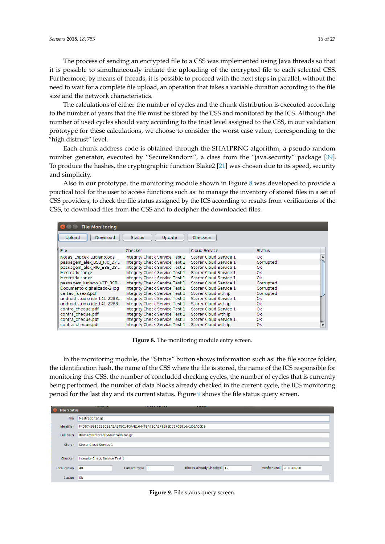The process of sending an encrypted file to a CSS was implemented using Java threads so that it is possible to simultaneously initiate the uploading of the encrypted file to each selected CSS. Furthermore, by means of threads, it is possible to proceed with the next steps in parallel, without the need to wait for a complete file upload, an operation that takes a variable duration according to the file size and the network characteristics.

The calculations of either the number of cycles and the chunk distribution is executed according to the number of years that the file must be stored by the CSS and monitored by the ICS. Although the number of used cycles should vary according to the trust level assigned to the CSS, in our validation prototype for these calculations, we choose to consider the worst case value, corresponding to the "high distrust" level.

Each chunk address code is obtained through the SHA1PRNG algorithm, a pseudo-random number generator, executed by "SecureRandom", a class from the "java.security" package [\[39\]](#page-25-18). To produce the hashes, the cryptographic function Blake2 [\[21\]](#page-25-0) was chosen due to its speed, security and simplicity.

Also in our prototype, the monitoring module shown in Figure [8](#page-15-0) was developed to provide a practical tool for the user to access functions such as: to manage the inventory of stored files in a set of CSS providers, to check the file status assigned by the ICS according to results from verifications of the CSS, to download files from the CSS and to decipher the downloaded files.

<span id="page-15-0"></span>

| <b>File Monitoring</b>       |                                |                        |               |  |
|------------------------------|--------------------------------|------------------------|---------------|--|
| Upload<br>Download           | Update<br><b>Status</b>        | <b>Checkers</b>        |               |  |
|                              |                                |                        |               |  |
| File.                        | Checker                        | Cloud Service          | <b>Status</b> |  |
| Notas Espcex Luciano.ods     | Integrity Check Service Test 1 | Storer Cloud Service 1 | 0k            |  |
| passagem alex BSB RIO 27     | Integrity Check Service Test 1 | Storer Cloud Service 1 | Corrupted     |  |
| passagem alex RIO BSB 23     | Integrity Check Service Test 1 | Storer Cloud Service 1 | 0k.           |  |
| Mestrado.tar.gz              | Integrity Check Service Test 1 | Storer Cloud Service 1 | 0k.           |  |
| Mestrado.tar.gz              | Integrity Check Service Test 1 | Storer Cloud Service 1 | 0k            |  |
| passagem luciano VCP BSB     | Integrity Check Service Test 1 | Storer Cloud Service 1 | Corrupted     |  |
| Documento digitalizado-2.jpg | Integrity Check Service Test 1 | Storer Cloud Service 1 | Corrupted     |  |
| cartao fusex2.pdf            | Integrity Check Service Test 1 | Storer Cloud with ip   | Corrupted     |  |
| android-studio-ide-141.2288  | Integrity Check Service Test 1 | Storer Cloud Service 1 | 0k            |  |
| android-studio-ide-141.2288  | Integrity Check Service Test 1 | Storer Cloud with ip   | 0k            |  |
| contra cheque.pdf            | Integrity Check Service Test 1 | Storer Cloud Service 1 | 0k            |  |
| contra cheque.pdf            | Integrity Check Service Test 1 | Storer Cloud with ip   | 0k            |  |
| contra cheque.pdf            | Integrity Check Service Test 1 | Storer Cloud Service 1 | 0k            |  |
| contra cheque.pdf            | Integrity Check Service Test 1 | Storer Cloud with ip   | 0k            |  |

**Figure 8.** The monitoring module entry screen.

In the monitoring module, the "Status" button shows information such as: the file source folder, the identification hash, the name of the CSS where the file is stored, the name of the ICS responsible for monitoring this CSS, the number of concluded checking cycles, the number of cycles that is currently being performed, the number of data blocks already checked in the current cycle, the ICS monitoring period for the last day and its current status. Figure [9](#page-15-1) shows the file status query screen.

<span id="page-15-1"></span>

| <b>File Status</b> |                                                                                 |  |  |  |  |  |  |
|--------------------|---------------------------------------------------------------------------------|--|--|--|--|--|--|
| File               | Mestrado.tar.gz                                                                 |  |  |  |  |  |  |
| Identifier         | F4D8746913258C29A8A845014C9AE1644F9A79CA679E96D1370E916A1D6A0CD9                |  |  |  |  |  |  |
| Full path          | /home/divinforadj6/Mestrado.tar.gz                                              |  |  |  |  |  |  |
| Storer             | Storer Cloud Service 1                                                          |  |  |  |  |  |  |
|                    |                                                                                 |  |  |  |  |  |  |
| Checker            | Integrity Check Service Test 1                                                  |  |  |  |  |  |  |
| Total cycles       | Blocks already Checked 19<br>Verifier until 2018-03-30<br>Current cycle 1<br>40 |  |  |  |  |  |  |
| Status             | lok                                                                             |  |  |  |  |  |  |

**Figure 9.** File status query screen.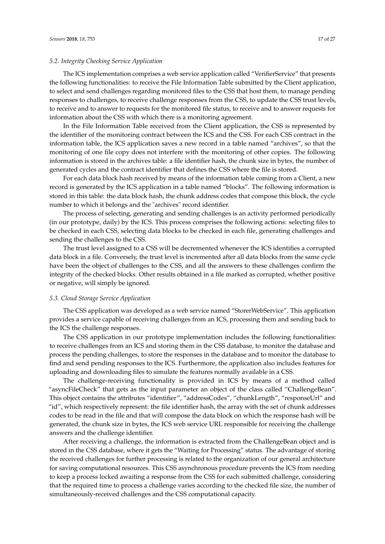# *5.2. Integrity Checking Service Application*

The ICS implementation comprises a web service application called "VerifierService" that presents the following functionalities: to receive the File Information Table submitted by the Client application, to select and send challenges regarding monitored files to the CSS that host them, to manage pending responses to challenges, to receive challenge responses from the CSS, to update the CSS trust levels, to receive and to answer to requests for the monitored file status, to receive and to answer requests for information about the CSS with which there is a monitoring agreement.

In the File Information Table received from the Client application, the CSS is represented by the identifier of the monitoring contract between the ICS and the CSS. For each CSS contract in the information table, the ICS application saves a new record in a table named "archives", so that the monitoring of one file copy does not interfere with the monitoring of other copies. The following information is stored in the archives table: a file identifier hash, the chunk size in bytes, the number of generated cycles and the contract identifier that defines the CSS where the file is stored.

For each data block hash received by means of the information table coming from a Client, a new record is generated by the ICS application in a table named "blocks". The following information is stored in this table: the data block hash, the chunk address codes that compose this block, the cycle number to which it belongs and the "archives" record identifier.

The process of selecting, generating and sending challenges is an activity performed periodically (in our prototype, daily) by the ICS. This process comprises the following actions: selecting files to be checked in each CSS, selecting data blocks to be checked in each file, generating challenges and sending the challenges to the CSS.

The trust level assigned to a CSS will be decremented whenever the ICS identifies a corrupted data block in a file. Conversely, the trust level is incremented after all data blocks from the same cycle have been the object of challenges to the CSS, and all the answers to these challenges confirm the integrity of the checked blocks. Other results obtained in a file marked as corrupted, whether positive or negative, will simply be ignored.

## *5.3. Cloud Storage Service Application*

The CSS application was developed as a web service named "StorerWebService". This application provides a service capable of receiving challenges from an ICS, processing them and sending back to the ICS the challenge responses.

The CSS application in our prototype implementation includes the following functionalities: to receive challenges from an ICS and storing them in the CSS database, to monitor the database and process the pending challenges, to store the responses in the database and to monitor the database to find and send pending responses to the ICS. Furthermore, the application also includes features for uploading and downloading files to simulate the features normally available in a CSS.

The challenge-receiving functionality is provided in ICS by means of a method called "asyncFileCheck" that gets as the input parameter an object of the class called "ChallengeBean". This object contains the attributes "identifier", "addressCodes", "chunkLength", "responseUrl" and "id", which respectively represent: the file identifier hash, the array with the set of chunk addresses codes to be read in the file and that will compose the data block on which the response hash will be generated, the chunk size in bytes, the ICS web service URL responsible for receiving the challenge answers and the challenge identifier.

After receiving a challenge, the information is extracted from the ChallengeBean object and is stored in the CSS database, where it gets the "Waiting for Processing" status. The advantage of storing the received challenges for further processing is related to the organization of our general architecture for saving computational resources. This CSS asynchronous procedure prevents the ICS from needing to keep a process locked awaiting a response from the CSS for each submitted challenge, considering that the required time to process a challenge varies according to the checked file size, the number of simultaneously-received challenges and the CSS computational capacity.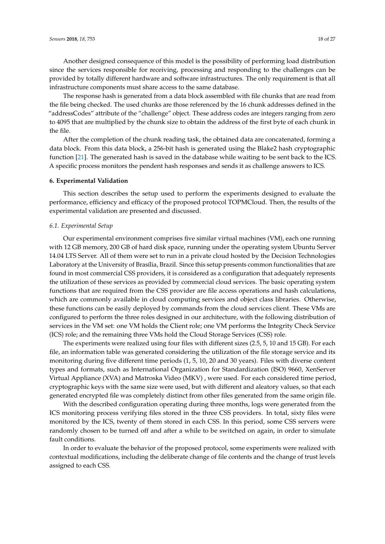Another designed consequence of this model is the possibility of performing load distribution since the services responsible for receiving, processing and responding to the challenges can be provided by totally different hardware and software infrastructures. The only requirement is that all infrastructure components must share access to the same database.

The response hash is generated from a data block assembled with file chunks that are read from the file being checked. The used chunks are those referenced by the 16 chunk addresses defined in the "addressCodes" attribute of the "challenge" object. These address codes are integers ranging from zero to 4095 that are multiplied by the chunk size to obtain the address of the first byte of each chunk in the file.

After the completion of the chunk reading task, the obtained data are concatenated, forming a data block. From this data block, a 256-bit hash is generated using the Blake2 hash cryptographic function [\[21\]](#page-25-0). The generated hash is saved in the database while waiting to be sent back to the ICS. A specific process monitors the pendent hash responses and sends it as challenge answers to ICS.

# <span id="page-17-0"></span>**6. Experimental Validation**

This section describes the setup used to perform the experiments designed to evaluate the performance, efficiency and efficacy of the proposed protocol TOPMCloud. Then, the results of the experimental validation are presented and discussed.

## *6.1. Experimental Setup*

Our experimental environment comprises five similar virtual machines (VM), each one running with 12 GB memory, 200 GB of hard disk space, running under the operating system Ubuntu Server 14.04 LTS Server. All of them were set to run in a private cloud hosted by the Decision Technologies Laboratory at the University of Brasília, Brazil. Since this setup presents common functionalities that are found in most commercial CSS providers, it is considered as a configuration that adequately represents the utilization of these services as provided by commercial cloud services. The basic operating system functions that are required from the CSS provider are file access operations and hash calculations, which are commonly available in cloud computing services and object class libraries. Otherwise, these functions can be easily deployed by commands from the cloud services client. These VMs are configured to perform the three roles designed in our architecture, with the following distribution of services in the VM set: one VM holds the Client role; one VM performs the Integrity Check Service (ICS) role; and the remaining three VMs hold the Cloud Storage Services (CSS) role.

The experiments were realized using four files with different sizes (2.5, 5, 10 and 15 GB). For each file, an information table was generated considering the utilization of the file storage service and its monitoring during five different time periods (1, 5, 10, 20 and 30 years). Files with diverse content types and formats, such as International Organization for Standardization (ISO) 9660, XenServer Virtual Appliance (XVA) and Matroska Video (MKV) , were used. For each considered time period, cryptographic keys with the same size were used, but with different and aleatory values, so that each generated encrypted file was completely distinct from other files generated from the same origin file.

With the described configuration operating during three months, logs were generated from the ICS monitoring process verifying files stored in the three CSS providers. In total, sixty files were monitored by the ICS, twenty of them stored in each CSS. In this period, some CSS servers were randomly chosen to be turned off and after a while to be switched on again, in order to simulate fault conditions.

In order to evaluate the behavior of the proposed protocol, some experiments were realized with contextual modifications, including the deliberate change of file contents and the change of trust levels assigned to each CSS.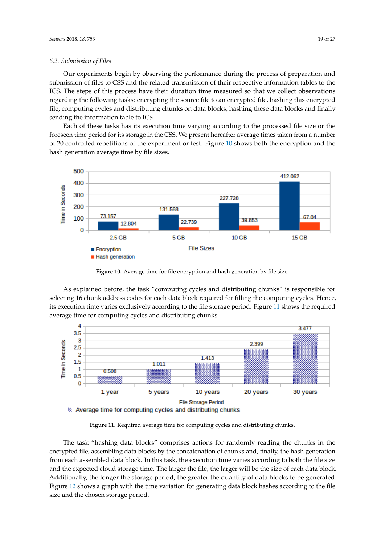## *6.2. Submission of Files*

Our experiments begin by observing the performance during the process of preparation and submission of files to CSS and the related transmission of their respective information tables to the ICS. The steps of this process have their duration time measured so that we collect observations regarding the following tasks: encrypting the source file to an encrypted file, hashing this encrypted file, computing cycles and distributing chunks on data blocks, hashing these data blocks and finally sending the information table to ICS.

Each of these tasks has its execution time varying according to the processed file size or the foreseen time period for its storage in the CSS. We present hereafter average times taken from a number of 20 controlled repetitions of the experiment or test. Figure [10](#page-18-0) shows both the encryption and the hash generation average time by file sizes.

<span id="page-18-0"></span>

**Figure 10.** Average time for file encryption and hash generation by file size.

As explained before, the task "computing cycles and distributing chunks" is responsible for selecting 16 chunk address codes for each data block required for filling the computing cycles. Hence, its execution time varies exclusively according to the file storage period. Figure [11](#page-18-1) shows the required average time for computing cycles and distributing chunks.

<span id="page-18-1"></span>

**Figure 11.** Required average time for computing cycles and distributing chunks.

The task "hashing data blocks" comprises actions for randomly reading the chunks in the encrypted file, assembling data blocks by the concatenation of chunks and, finally, the hash generation from each assembled data block. In this task, the execution time varies according to both the file size and the expected cloud storage time. The larger the file, the larger will be the size of each data block. Additionally, the longer the storage period, the greater the quantity of data blocks to be generated. Figure [12](#page-19-0) shows a graph with the time variation for generating data block hashes according to the file size and the chosen storage period.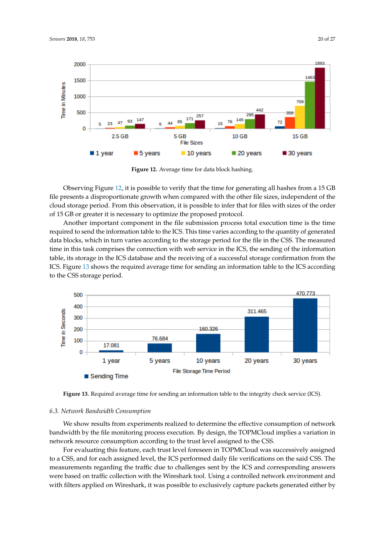<span id="page-19-0"></span>

**Figure 12.** Average time for data block hashing.

Observing Figure [12,](#page-19-0) it is possible to verify that the time for generating all hashes from a 15 GB file presents a disproportionate growth when compared with the other file sizes, independent of the cloud storage period. From this observation, it is possible to infer that for files with sizes of the order of 15 GB or greater it is necessary to optimize the proposed protocol.

Another important component in the file submission process total execution time is the time required to send the information table to the ICS. This time varies according to the quantity of generated data blocks, which in turn varies according to the storage period for the file in the CSS. The measured time in this task comprises the connection with web service in the ICS, the sending of the information table, its storage in the ICS database and the receiving of a successful storage confirmation from the ICS. Figure [13](#page-19-1) shows the required average time for sending an information table to the ICS according to the CSS storage period.

<span id="page-19-1"></span>

**Figure 13.** Required average time for sending an information table to the integrity check service (ICS).

#### *6.3. Network Bandwidth Consumption*

We show results from experiments realized to determine the effective consumption of network bandwidth by the file monitoring process execution. By design, the TOPMCloud implies a variation in network resource consumption according to the trust level assigned to the CSS.

For evaluating this feature, each trust level foreseen in TOPMCloud was successively assigned to a CSS, and for each assigned level, the ICS performed daily file verifications on the said CSS. The measurements regarding the traffic due to challenges sent by the ICS and corresponding answers were based on traffic collection with the Wireshark tool. Using a controlled network environment and with filters applied on Wireshark, it was possible to exclusively capture packets generated either by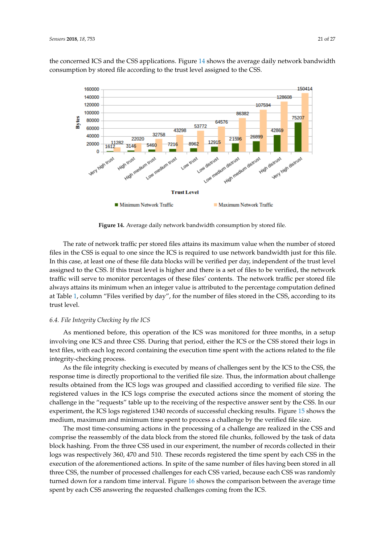the concerned ICS and the CSS applications. Figure [14](#page-20-0) shows the average daily network bandwidth consumption by stored file according to the trust level assigned to the CSS.

<span id="page-20-0"></span>

**Figure 14.** Average daily network bandwidth consumption by stored file.

The rate of network traffic per stored files attains its maximum value when the number of stored files in the CSS is equal to one since the ICS is required to use network bandwidth just for this file. In this case, at least one of these file data blocks will be verified per day, independent of the trust level assigned to the CSS. If this trust level is higher and there is a set of files to be verified, the network traffic will serve to monitor percentages of these files' contents. The network traffic per stored file always attains its minimum when an integer value is attributed to the percentage computation defined at Table [1,](#page-10-0) column "Files verified by day", for the number of files stored in the CSS, according to its trust level.

## *6.4. File Integrity Checking by the ICS*

As mentioned before, this operation of the ICS was monitored for three months, in a setup involving one ICS and three CSS. During that period, either the ICS or the CSS stored their logs in text files, with each log record containing the execution time spent with the actions related to the file integrity-checking process.

As the file integrity checking is executed by means of challenges sent by the ICS to the CSS, the response time is directly proportional to the verified file size. Thus, the information about challenge results obtained from the ICS logs was grouped and classified according to verified file size. The registered values in the ICS logs comprise the executed actions since the moment of storing the challenge in the "requests" table up to the receiving of the respective answer sent by the CSS. In our experiment, the ICS logs registered 1340 records of successful checking results. Figure [15](#page-21-0) shows the medium, maximum and minimum time spent to process a challenge by the verified file size.

The most time-consuming actions in the processing of a challenge are realized in the CSS and comprise the reassembly of the data block from the stored file chunks, followed by the task of data block hashing. From the three CSS used in our experiment, the number of records collected in their logs was respectively 360, 470 and 510. These records registered the time spent by each CSS in the execution of the aforementioned actions. In spite of the same number of files having been stored in all three CSS, the number of processed challenges for each CSS varied, because each CSS was randomly turned down for a random time interval. Figure [16](#page-21-1) shows the comparison between the average time spent by each CSS answering the requested challenges coming from the ICS.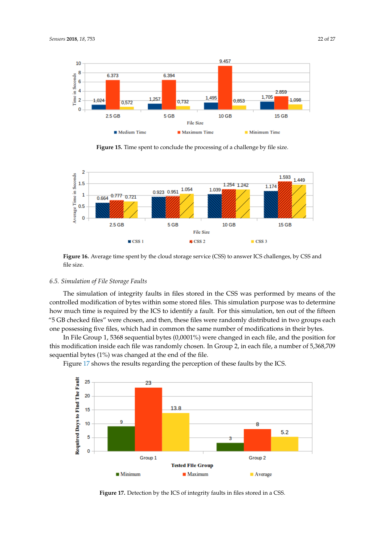<span id="page-21-0"></span>

**Figure 15.** Time spent to conclude the processing of a challenge by file size.

<span id="page-21-1"></span>

**Figure 16.** Average time spent by the cloud storage service (CSS) to answer ICS challenges, by CSS and file size.

# *6.5. Simulation of File Storage Faults*

The simulation of integrity faults in files stored in the CSS was performed by means of the controlled modification of bytes within some stored files. This simulation purpose was to determine how much time is required by the ICS to identify a fault. For this simulation, ten out of the fifteen "5 GB checked files" were chosen, and then, these files were randomly distributed in two groups each one possessing five files, which had in common the same number of modifications in their bytes.

In File Group 1, 5368 sequential bytes (0,0001%) were changed in each file, and the position for this modification inside each file was randomly chosen. In Group 2, in each file, a number of 5,368,709 sequential bytes (1%) was changed at the end of the file.

Figure [17](#page-21-2) shows the results regarding the perception of these faults by the ICS.

<span id="page-21-2"></span>

Figure 17. Detection by the ICS of integrity faults in files stored in a CSS.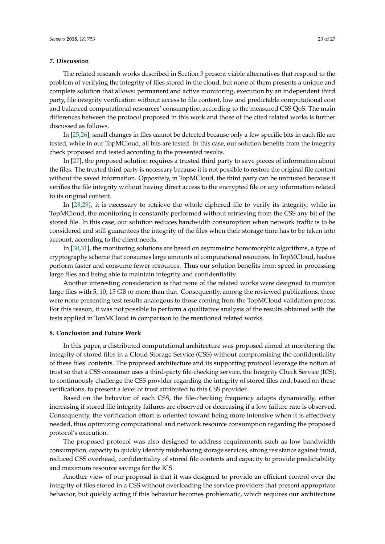# <span id="page-22-0"></span>**7. Discussion**

The related research works described in Section [3](#page-4-0) present viable alternatives that respond to the problem of verifying the integrity of files stored in the cloud, but none of them presents a unique and complete solution that allows: permanent and active monitoring, execution by an independent third party, file integrity verification without access to file content, low and predictable computational cost and balanced computational resources' consumption according to the measured CSS QoS. The main differences between the protocol proposed in this work and those of the cited related works is further discussed as follows.

In [\[25](#page-25-4)[,26\]](#page-25-5), small changes in files cannot be detected because only a few specific bits in each file are tested, while in our TopMCloud, all bits are tested. In this case, our solution benefits from the integrity check proposed and tested according to the presented results.

In [\[27\]](#page-25-6), the proposed solution requires a trusted third party to save pieces of information about the files. The trusted third party is necessary because it is not possible to restore the original file content without the saved information. Oppositely, in TopMCloud, the third party can be untrusted because it verifies the file integrity without having direct access to the encrypted file or any information related to its original content.

In [\[28](#page-25-7)[,29\]](#page-25-8), it is necessary to retrieve the whole ciphered file to verify its integrity, while in TopMCloud, the monitoring is constantly performed without retrieving from the CSS any bit of the stored file. In this case, our solution reduces bandwidth consumption when network traffic is to be considered and still guarantees the integrity of the files when their storage time has to be taken into account, according to the client needs.

In [\[30,](#page-25-9)[31\]](#page-25-10), the monitoring solutions are based on asymmetric homomorphic algorithms, a type of cryptography scheme that consumes large amounts of computational resources. In TopMCloud, hashes perform faster and consume fewer resources. Thus our solution benefits from speed in processing large files and being able to maintain integrity and confidentiality.

Another interesting consideration is that none of the related works were designed to monitor large files with 5, 10, 15 GB or more than that. Consequently, among the reviewed publications, there were none presenting test results analogous to those coming from the TopMCloud validation process. For this reason, it was not possible to perform a qualitative analysis of the results obtained with the tests applied in TopMCloud in comparison to the mentioned related works.

### <span id="page-22-1"></span>**8. Conclusion and Future Work**

In this paper, a distributed computational architecture was proposed aimed at monitoring the integrity of stored files in a Cloud Storage Service (CSS) without compromising the confidentiality of these files' contents. The proposed architecture and its supporting protocol leverage the notion of trust so that a CSS consumer uses a third-party file-checking service, the Integrity Check Service (ICS), to continuously challenge the CSS provider regarding the integrity of stored files and, based on these verifications, to present a level of trust attributed to this CSS provider.

Based on the behavior of each CSS, the file-checking frequency adapts dynamically, either increasing if stored file integrity failures are observed or decreasing if a low failure rate is observed. Consequently, the verification effort is oriented toward being more intensive when it is effectively needed, thus optimizing computational and network resource consumption regarding the proposed protocol's execution.

The proposed protocol was also designed to address requirements such as low bandwidth consumption, capacity to quickly identify misbehaving storage services, strong resistance against fraud, reduced CSS overhead, confidentiality of stored file contents and capacity to provide predictability and maximum resource savings for the ICS.

Another view of our proposal is that it was designed to provide an efficient control over the integrity of files stored in a CSS without overloading the service providers that present appropriate behavior, but quickly acting if this behavior becomes problematic, which requires our architecture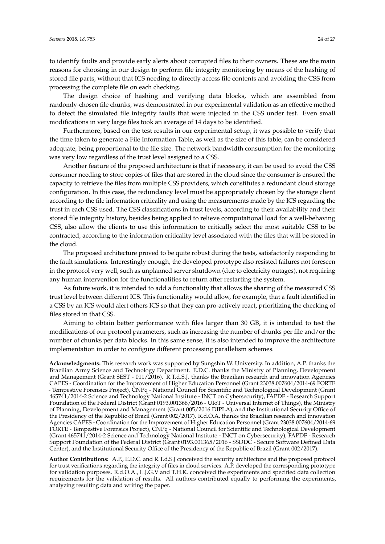to identify faults and provide early alerts about corrupted files to their owners. These are the main reasons for choosing in our design to perform file integrity monitoring by means of the hashing of stored file parts, without that ICS needing to directly access file contents and avoiding the CSS from processing the complete file on each checking.

The design choice of hashing and verifying data blocks, which are assembled from randomly-chosen file chunks, was demonstrated in our experimental validation as an effective method to detect the simulated file integrity faults that were injected in the CSS under test. Even small modifications in very large files took an average of 14 days to be identified.

Furthermore, based on the test results in our experimental setup, it was possible to verify that the time taken to generate a File Information Table, as well as the size of this table, can be considered adequate, being proportional to the file size. The network bandwidth consumption for the monitoring was very low regardless of the trust level assigned to a CSS.

Another feature of the proposed architecture is that if necessary, it can be used to avoid the CSS consumer needing to store copies of files that are stored in the cloud since the consumer is ensured the capacity to retrieve the files from multiple CSS providers, which constitutes a redundant cloud storage configuration. In this case, the redundancy level must be appropriately chosen by the storage client according to the file information criticality and using the measurements made by the ICS regarding the trust in each CSS used. The CSS classifications in trust levels, according to their availability and their stored file integrity history, besides being applied to relieve computational load for a well-behaving CSS, also allow the clients to use this information to critically select the most suitable CSS to be contracted, according to the information criticality level associated with the files that will be stored in the cloud.

The proposed architecture proved to be quite robust during the tests, satisfactorily responding to the fault simulations. Interestingly enough, the developed prototype also resisted failures not foreseen in the protocol very well, such as unplanned server shutdown (due to electricity outages), not requiring any human intervention for the functionalities to return after restarting the system.

As future work, it is intended to add a functionality that allows the sharing of the measured CSS trust level between different ICS. This functionality would allow, for example, that a fault identified in a CSS by an ICS would alert others ICS so that they can pro-actively react, prioritizing the checking of files stored in that CSS.

Aiming to obtain better performance with files larger than 30 GB, it is intended to test the modifications of our protocol parameters, such as increasing the number of chunks per file and/or the number of chunks per data blocks. In this same sense, it is also intended to improve the architecture implementation in order to configure different processing parallelism schemes.

**Acknowledgments:** This research work was supported by Sungshin W. University. In addition, A.P. thanks the Brazilian Army Science and Technology Department. E.D.C. thanks the Ministry of Planning, Development and Management (Grant SEST - 011/2016). R.T.d.S.J. thanks the Brazilian research and innovation Agencies CAPES - Coordination for the Improvement of Higher Education Personnel (Grant 23038.007604/2014-69 FORTE - Tempestive Forensics Project), CNPq - National Council for Scientific and Technological Development (Grant 465741/2014-2 Science and Technology National Institute - INCT on Cybersecurity), FAPDF - Research Support Foundation of the Federal District (Grant 0193.001366/2016 - UIoT - Universal Internet of Things), the Ministry of Planning, Development and Management (Grant 005/2016 DIPLA), and the Institutional Security Office of the Presidency of the Republic of Brazil (Grant 002/2017). R.d.O.A. thanks the Brazilian research and innovation Agencies CAPES - Coordination for the Improvement of Higher Education Personnel (Grant 23038.007604/2014-69 FORTE - Tempestive Forensics Project), CNPq - National Council for Scientific and Technological Development (Grant 465741/2014-2 Science and Technology National Institute - INCT on Cybersecurity), FAPDF - Research Support Foundation of the Federal District (Grant 0193.001365/2016 - SSDDC - Secure Software Defined Data Center), and the Institutional Security Office of the Presidency of the Republic of Brazil (Grant 002/2017).

**Author Contributions:** A.P., E.D.C. and R.T.d.S.J conceived the security architecture and the proposed protocol for trust verifications regarding the integrity of files in cloud services. A.P. developed the corresponding prototype for validation purposes. R.d.O.A., L.J.G.V and T.H.K. conceived the experiments and specified data collection requirements for the validation of results. All authors contributed equally to performing the experiments, analyzing resulting data and writing the paper.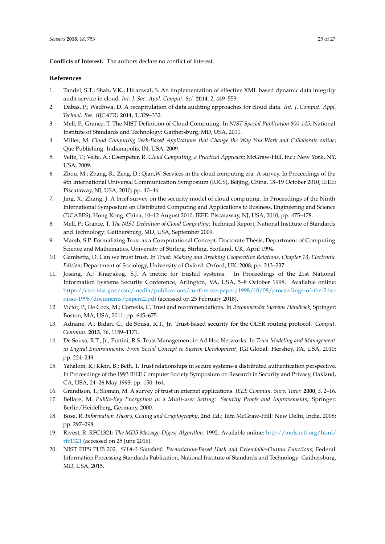**Conflicts of Interest:** The authors declare no conflict of interest.

## **References**

- <span id="page-24-0"></span>1. Tandel, S.T.; Shah, V.K.; Hiranwal, S. An implementation of effective XML based dynamic data integrity audit service in cloud. *Int. J. Soc. Appl. Comput. Sci.* **2014**, *2*, 449–553.
- <span id="page-24-1"></span>2. Dabas, P.; Wadhwa, D. A recapitulation of data auditing approaches for cloud data. *Int. J. Comput. Appl. Technol. Res. (IJCATR)* **2014**, *3*, 329–332.
- <span id="page-24-2"></span>3. Mell, P.; Grance, T. The NIST Definition of Cloud Computing. In *NIST Special Publication 800-145*; National Institute of Standards and Technology: Gaithersburg, MD, USA, 2011.
- <span id="page-24-3"></span>4. Miller, M. *Cloud Computing Web-Based Applications that Change the Way You Work and Collaborate online*; Que Publishing: Indianapolis, IN, USA, 2009.
- <span id="page-24-4"></span>5. Velte, T.; Velte, A.; Elsenpeter, R. *Cloud Computing, a Practical Approach*; McGraw-Hill, Inc.: New York, NY, USA, 2009.
- <span id="page-24-5"></span>6. Zhou, M.; Zhang, R.; Zeng, D.; Qian,W. Services in the cloud computing era: A survey. In Proceedings of the 4th International Universal Communication Symposium (IUCS), Beijing, China, 18–19 October 2010; IEEE: Piscataway, NJ, USA, 2010; pp. 40–46.
- <span id="page-24-6"></span>7. Jing, X.; Zhang, J. A brief survey on the security model of cloud computing. In Proceedings of the Ninth International Symposium on Distributed Computing and Applications to Business, Engineering and Science (DCABES), Hong Kong, China, 10–12 August 2010; IEEE: Piscataway, NJ, USA, 2010; pp. 475–478.
- <span id="page-24-7"></span>8. Mell, P.; Grance, T. *The NIST Definition of Cloud Computing*; Technical Report; National Institute of Standards and Technology: Gaithersburg, MD, USA, September 2009.
- <span id="page-24-8"></span>9. Marsh, S.P. Formalizing Trust as a Computational Concept. Doctorate Thesis, Department of Computing Science and Mathematics, University of Stirling, Stirling, Scotland, UK, April 1994.
- <span id="page-24-9"></span>10. Gambetta, D. Can we trust trust. In *Trust: Making and Breaking Cooperative Relations, Chapter 13, Electronic Edition*; Department of Sociology, University of Oxford: Oxford, UK, 2008; pp. 213–237.
- <span id="page-24-10"></span>11. Josang, A.; Knapskog, S.J. A metric for trusted systems. In Proceedings of the 21st National Information Systems Security Conference, Arlington, VA, USA, 5–8 October 1998. Avaliable online: [https://csrc.nist.gov/csrc/media/publications/conference-paper/1998/10/08/proceedings-of-the-21st](https://csrc.nist.gov/csrc/media/publications/conference-paper/1998/10/08/proceedings-of-the-21st-nissc -1998/documents/papera2.pdf)[nissc-1998/documents/papera2.pdf](https://csrc.nist.gov/csrc/media/publications/conference-paper/1998/10/08/proceedings-of-the-21st-nissc -1998/documents/papera2.pdf) (accessed on 25 February 2018).
- <span id="page-24-11"></span>12. Victor, P.; De Cock, M.; Cornelis, C. Trust and recommendations. In *Recommender Systems Handbook*; Springer: Boston, MA, USA, 2011; pp. 645–675.
- <span id="page-24-12"></span>13. Adnane, A.; Bidan, C.; de Sousa, R.T., Jr. Trust-based security for the OLSR routing protocol. *Comput. Commun.* **2013**, *36*, 1159–1171.
- <span id="page-24-13"></span>14. De Sousa, R.T., Jr.; Puttini, R.S. Trust Management in Ad Hoc Networks. In *Trust Modeling and Management in Digital Environments: From Social Concept to System Development*; IGI Global: Hershey, PA, USA, 2010; pp. 224–249.
- <span id="page-24-14"></span>15. Yahalom, R.; Klein, B.; Beth, T. Trust relationships in secure systems-a distributed authentication perspective. In Proceedings of the 1993 IEEE Computer Society Symposium on Research in Security and Privacy, Oakland, CA, USA, 24–26 May 1993; pp. 150–164.
- <span id="page-24-15"></span>16. Grandison, T.; Sloman, M. A survey of trust in internet applications. *IEEE Commun. Surv. Tutor.* **2000**, *3*, 2–16.
- <span id="page-24-16"></span>17. Bellare, M. *Public-Key Encryption in a Multi-user Setting: Security Proofs and Improvements*; Springer: Berlin/Heidelberg, Germany, 2000.
- <span id="page-24-17"></span>18. Bose, R. *Information Theory, Coding and Cryptography*, 2nd Ed.; Tata McGraw-Hill: New Delhi, India, 2008; pp. 297–298.
- <span id="page-24-18"></span>19. Rivest, R. RFC1321: *The MD5 Message-Digest Algorithm*. 1992. Available online: [http://tools.ietf.org/html/](http://tools.ietf.org/html/rfc1321) [rfc1321](http://tools.ietf.org/html/rfc1321) (accessed on 25 June 2016).
- <span id="page-24-19"></span>20. NIST FIPS PUB 202. *SHA-3 Standard: Permutation-Based Hash and Extendable-Output Functions*; Federal Information Processing Standards Publication, National Institute of Standards and Technology: Gaithersburg, MD, USA, 2015.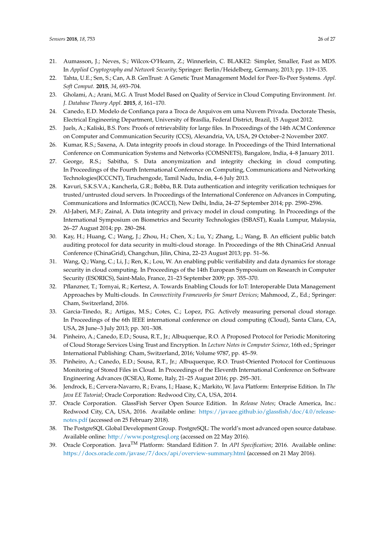- <span id="page-25-0"></span>21. Aumasson, J.; Neves, S.; Wilcox-O'Hearn, Z.; Winnerlein, C. BLAKE2: Simpler, Smaller, Fast as MD5. In *Applied Cryptography and Network Security*; Springer: Berlin/Heidelberg, Germany, 2013; pp. 119–135.
- <span id="page-25-1"></span>22. Tahta, U.E.; Sen, S.; Can, A.B. GenTrust: A Genetic Trust Management Model for Peer-To-Peer Systems. *Appl. Soft Comput.* **2015**, *34*, 693–704.
- <span id="page-25-2"></span>23. Gholami, A.; Arani, M.G. A Trust Model Based on Quality of Service in Cloud Computing Environment. *Int. J. Database Theory Appl.* **2015**, *8*, 161–170.
- <span id="page-25-3"></span>24. Canedo, E.D. Modelo de Confiança para a Troca de Arquivos em uma Nuvem Privada. Doctorate Thesis, Electrical Engineering Department, University of Brasília, Federal District, Brazil, 15 August 2012.
- <span id="page-25-4"></span>25. Juels, A.; Kaliski, B.S. Pors: Proofs of retrievability for large files. In Proceedings of the 14th ACM Conference on Computer and Communication Security (CCS), Alexandria, VA, USA, 29 October–2 November 2007.
- <span id="page-25-5"></span>26. Kumar, R.S.; Saxena, A. Data integrity proofs in cloud storage. In Proceedings of the Third International Conference on Communication Systems and Networks (COMSNETS), Bangalore, India, 4–8 January 2011.
- <span id="page-25-6"></span>27. George, R.S.; Sabitha, S. Data anonymization and integrity checking in cloud computing. In Proceedings of the Fourth International Conference on Computing, Communications and Networking Technologies(ICCCNT), Tiruchengode, Tamil Nadu, India, 4–6 July 2013.
- <span id="page-25-7"></span>28. Kavuri, S.K.S.V.A.; Kancherla, G.R.; Bobba, B.R. Data authentication and integrity verification techniques for trusted/untrusted cloud servers. In Proceedings of the International Conference on Advances in Computing, Communications and Informatics (ICACCI), New Delhi, India, 24–27 September 2014; pp. 2590–2596.
- <span id="page-25-8"></span>29. Al-Jaberi, M.F.; Zainal, A. Data integrity and privacy model in cloud computing. In Proceedings of the International Symposium on Biometrics and Security Technologies (ISBAST), Kuala Lumpur, Malaysia, 26–27 August 2014; pp. 280–284.
- <span id="page-25-9"></span>30. Kay, H.; Huang, C.; Wang, J.; Zhou, H.; Chen, X.; Lu, Y.; Zhang, L.; Wang, B. An efficient public batch auditing protocol for data security in multi-cloud storage. In Proceedings of the 8th ChinaGrid Annual Conference (ChinaGrid), Changchun, Jilin, China, 22–23 August 2013; pp. 51–56.
- <span id="page-25-10"></span>31. Wang, Q.; Wang, C.; Li, J.; Ren, K.; Lou, W. An enabling public verifiability and data dynamics for storage security in cloud computing. In Proceedings of the 14th European Symposium on Research in Computer Security (ESORICS), Saint-Malo, France, 21–23 September 2009; pp. 355–370.
- <span id="page-25-11"></span>32. Pflanzner, T.; Tornyai, R.; Kertesz, A. Towards Enabling Clouds for IoT: Interoperable Data Management Approaches by Multi-clouds. In *Connectivity Frameworks for Smart Devices*; Mahmood, Z., Ed.; Springer: Cham, Switzerland, 2016.
- <span id="page-25-12"></span>33. Garcia-Tinedo, R.; Artigas, M.S.; Cotes, C.; Lopez, P.G. Actively measuring personal cloud storage. In Proceedings of the 6th IEEE international conference on cloud computing (Cloud), Santa Clara, CA, USA, 28 June–3 July 2013; pp. 301–308.
- <span id="page-25-13"></span>34. Pinheiro, A.; Canedo, E.D.; Sousa, R.T., Jr.; Albuquerque, R.O. A Proposed Protocol for Periodic Monitoring of Cloud Storage Services Using Trust and Encryption. In *Lecture Notes in Computer Science*, 16th ed.; Springer International Publishing: Cham, Switzerland, 2016; Volume 9787, pp. 45–59.
- <span id="page-25-14"></span>35. Pinheiro, A.; Canedo, E.D.; Sousa, R.T., Jr.; Albuquerque, R.O. Trust-Oriented Protocol for Continuous Monitoring of Stored Files in Cloud. In Proceedings of the Eleventh International Conference on Software Engineering Advances (ICSEA), Rome, Italy, 21–25 August 2016; pp. 295–301.
- <span id="page-25-15"></span>36. Jendrock, E.; Cervera-Navarro, R.; Evans, I.; Haase, K.; Markito, W. Java Platform: Enterprise Edition. In *The Java EE Tutorial*; Oracle Corporation: Redwood City, CA, USA, 2014.
- <span id="page-25-16"></span>37. Oracle Corporation. GlassFish Server Open Source Edition. In *Release Notes*; Oracle America, Inc.: Redwood City, CA, USA, 2016. Available online: [https://javaee.github.io/glassfish/doc/4.0/release](https://javaee.github.io/glassfish/doc/4.0/release-notes.pdf)[notes.pdf](https://javaee.github.io/glassfish/doc/4.0/release-notes.pdf) (accessed on 25 February 2018).
- <span id="page-25-17"></span>38. The PostgreSQL Global Development Group. PostgreSQL: The world's most advanced open source database. Available online: <http://www.postgresql.org> (accessed on 22 May 2016).
- <span id="page-25-18"></span>39. Oracle Corporation. JavaTM Platform: Standard Edition 7. In *API Specification*; 2016. Available online: <https://docs.oracle.com/javase/7/docs/api/overview-summary.html> (accessed on 21 May 2016).